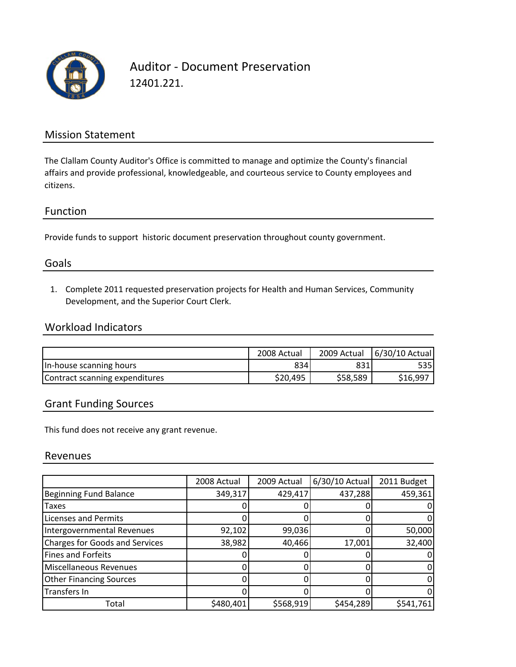

Auditor ‐ Document Preservation 12401.221.

## Mission Statement

The Clallam County Auditor's Office is committed to manage and optimize the County's financial affairs and provide professional, knowledgeable, and courteous service to County employees and citizens.

#### Function

Provide funds to support historic document preservation throughout county government.

## Goals

1. Complete 2011 requested preservation projects for Health and Human Services, Community Development, and the Superior Court Clerk.

## Workload Indicators

|                                | 2008 Actual | 2009 Actual | 6/30/10 Actual |
|--------------------------------|-------------|-------------|----------------|
| In-house scanning hours        | 834         | 831         | 535 I          |
| Contract scanning expenditures | \$20,495    | \$58,589    | \$16,997       |

## Grant Funding Sources

This fund does not receive any grant revenue.

#### Revenues

|                                       | 2008 Actual | 2009 Actual | 6/30/10 Actual | 2011 Budget |
|---------------------------------------|-------------|-------------|----------------|-------------|
| <b>Beginning Fund Balance</b>         | 349,317     | 429,417     | 437,288        | 459,361     |
| <b>Taxes</b>                          |             |             |                |             |
| <b>Licenses and Permits</b>           |             |             |                |             |
| Intergovernmental Revenues            | 92,102      | 99,036      |                | 50,000      |
| <b>Charges for Goods and Services</b> | 38,982      | 40,466      | 17,001         | 32,400      |
| Fines and Forfeits                    |             |             |                |             |
| Miscellaneous Revenues                |             |             |                |             |
| <b>Other Financing Sources</b>        |             |             |                |             |
| <b>Transfers In</b>                   |             |             |                | 0           |
| Total                                 | \$480,401   | \$568,919   | \$454,289      | \$541,761   |